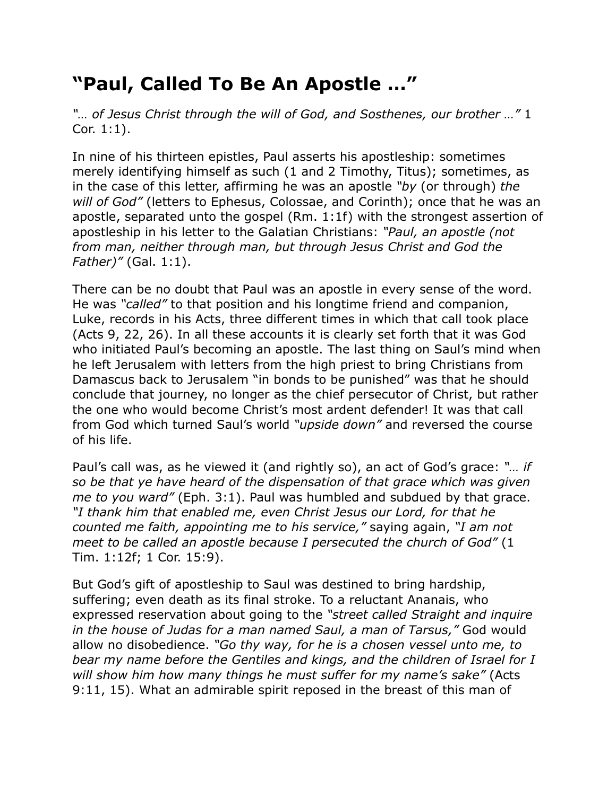## **"Paul, Called To Be An Apostle …"**

*"… of Jesus Christ through the will of God, and Sosthenes, our brother …"* 1 Cor. 1:1).

In nine of his thirteen epistles, Paul asserts his apostleship: sometimes merely identifying himself as such (1 and 2 Timothy, Titus); sometimes, as in the case of this letter, affirming he was an apostle *"by* (or through) *the will of God"* (letters to Ephesus, Colossae, and Corinth); once that he was an apostle, separated unto the gospel (Rm. 1:1f) with the strongest assertion of apostleship in his letter to the Galatian Christians: *"Paul, an apostle (not from man, neither through man, but through Jesus Christ and God the Father)"* (Gal. 1:1).

There can be no doubt that Paul was an apostle in every sense of the word. He was *"called"* to that position and his longtime friend and companion, Luke, records in his Acts, three different times in which that call took place (Acts 9, 22, 26). In all these accounts it is clearly set forth that it was God who initiated Paul's becoming an apostle. The last thing on Saul's mind when he left Jerusalem with letters from the high priest to bring Christians from Damascus back to Jerusalem "in bonds to be punished" was that he should conclude that journey, no longer as the chief persecutor of Christ, but rather the one who would become Christ's most ardent defender! It was that call from God which turned Saul's world *"upside down"* and reversed the course of his life.

Paul's call was, as he viewed it (and rightly so), an act of God's grace: *"… if so be that ye have heard of the dispensation of that grace which was given me to you ward"* (Eph. 3:1). Paul was humbled and subdued by that grace. *"I thank him that enabled me, even Christ Jesus our Lord, for that he counted me faith, appointing me to his service,"* saying again, *"I am not meet to be called an apostle because I persecuted the church of God"* (1 Tim. 1:12f; 1 Cor. 15:9).

But God's gift of apostleship to Saul was destined to bring hardship, suffering; even death as its final stroke. To a reluctant Ananais, who expressed reservation about going to the *"street called Straight and inquire in the house of Judas for a man named Saul, a man of Tarsus,"* God would allow no disobedience. *"Go thy way, for he is a chosen vessel unto me, to bear my name before the Gentiles and kings, and the children of Israel for I will show him how many things he must suffer for my name's sake"* (Acts 9:11, 15). What an admirable spirit reposed in the breast of this man of